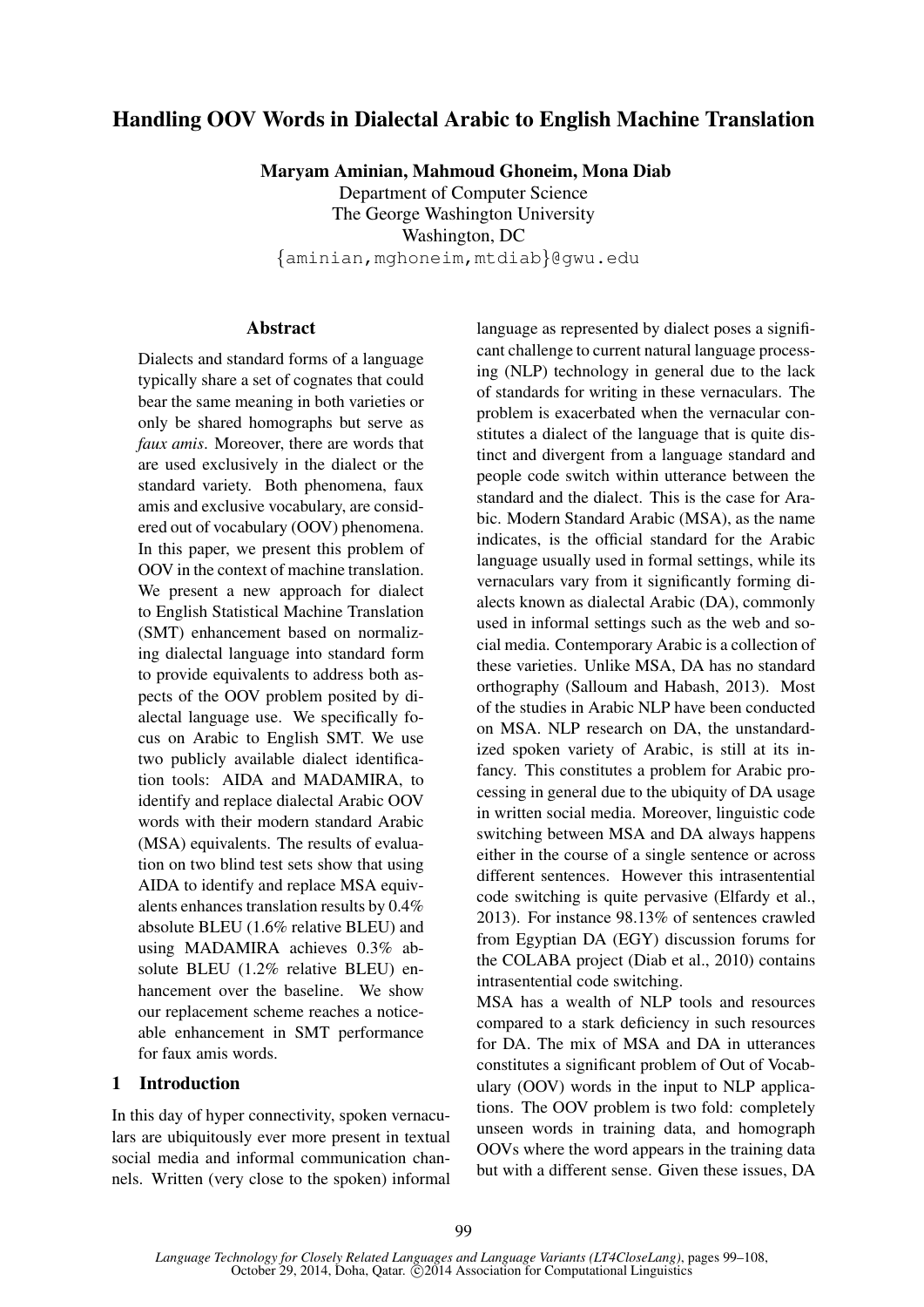# Handling OOV Words in Dialectal Arabic to English Machine Translation

Maryam Aminian, Mahmoud Ghoneim, Mona Diab

Department of Computer Science The George Washington University Washington, DC {aminian,mghoneim,mtdiab}@gwu.edu

### **Abstract**

Dialects and standard forms of a language typically share a set of cognates that could bear the same meaning in both varieties or only be shared homographs but serve as *faux amis*. Moreover, there are words that are used exclusively in the dialect or the standard variety. Both phenomena, faux amis and exclusive vocabulary, are considered out of vocabulary (OOV) phenomena. In this paper, we present this problem of OOV in the context of machine translation. We present a new approach for dialect to English Statistical Machine Translation (SMT) enhancement based on normalizing dialectal language into standard form to provide equivalents to address both aspects of the OOV problem posited by dialectal language use. We specifically focus on Arabic to English SMT. We use two publicly available dialect identification tools: AIDA and MADAMIRA, to identify and replace dialectal Arabic OOV words with their modern standard Arabic (MSA) equivalents. The results of evaluation on two blind test sets show that using AIDA to identify and replace MSA equivalents enhances translation results by 0.4% absolute BLEU (1.6% relative BLEU) and using MADAMIRA achieves 0.3% absolute BLEU (1.2% relative BLEU) enhancement over the baseline. We show our replacement scheme reaches a noticeable enhancement in SMT performance for faux amis words.

### 1 Introduction

In this day of hyper connectivity, spoken vernaculars are ubiquitously ever more present in textual social media and informal communication channels. Written (very close to the spoken) informal language as represented by dialect poses a significant challenge to current natural language processing (NLP) technology in general due to the lack of standards for writing in these vernaculars. The problem is exacerbated when the vernacular constitutes a dialect of the language that is quite distinct and divergent from a language standard and people code switch within utterance between the standard and the dialect. This is the case for Arabic. Modern Standard Arabic (MSA), as the name indicates, is the official standard for the Arabic language usually used in formal settings, while its vernaculars vary from it significantly forming dialects known as dialectal Arabic (DA), commonly used in informal settings such as the web and social media. Contemporary Arabic is a collection of these varieties. Unlike MSA, DA has no standard orthography (Salloum and Habash, 2013). Most of the studies in Arabic NLP have been conducted on MSA. NLP research on DA, the unstandardized spoken variety of Arabic, is still at its infancy. This constitutes a problem for Arabic processing in general due to the ubiquity of DA usage in written social media. Moreover, linguistic code switching between MSA and DA always happens either in the course of a single sentence or across different sentences. However this intrasentential code switching is quite pervasive (Elfardy et al., 2013). For instance 98.13% of sentences crawled from Egyptian DA (EGY) discussion forums for the COLABA project (Diab et al., 2010) contains intrasentential code switching.

MSA has a wealth of NLP tools and resources compared to a stark deficiency in such resources for DA. The mix of MSA and DA in utterances constitutes a significant problem of Out of Vocabulary (OOV) words in the input to NLP applications. The OOV problem is two fold: completely unseen words in training data, and homograph OOVs where the word appears in the training data but with a different sense. Given these issues, DA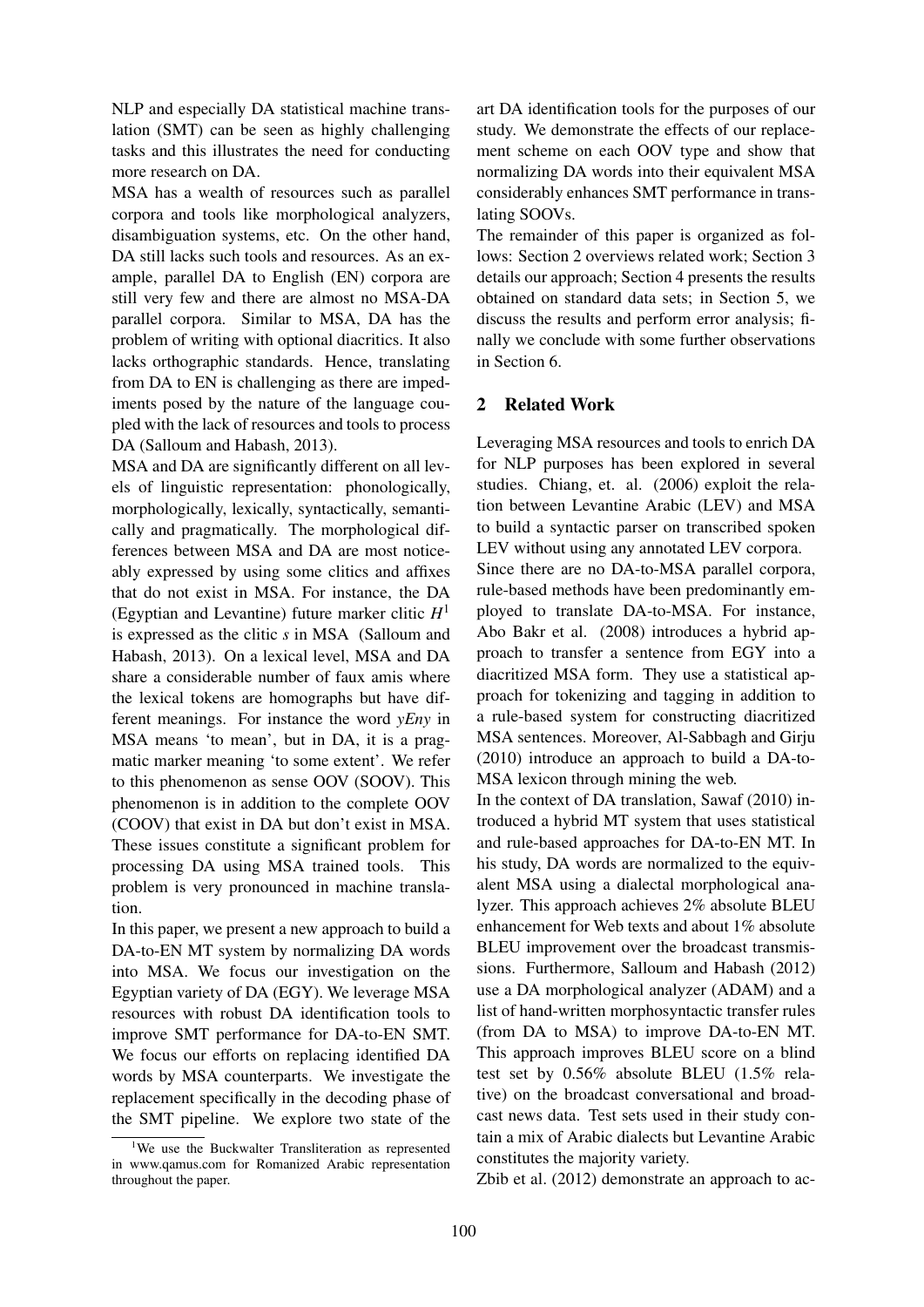NLP and especially DA statistical machine translation (SMT) can be seen as highly challenging tasks and this illustrates the need for conducting more research on DA.

MSA has a wealth of resources such as parallel corpora and tools like morphological analyzers, disambiguation systems, etc. On the other hand, DA still lacks such tools and resources. As an example, parallel DA to English (EN) corpora are still very few and there are almost no MSA-DA parallel corpora. Similar to MSA, DA has the problem of writing with optional diacritics. It also lacks orthographic standards. Hence, translating from DA to EN is challenging as there are impediments posed by the nature of the language coupled with the lack of resources and tools to process DA (Salloum and Habash, 2013).

MSA and DA are significantly different on all levels of linguistic representation: phonologically, morphologically, lexically, syntactically, semantically and pragmatically. The morphological differences between MSA and DA are most noticeably expressed by using some clitics and affixes that do not exist in MSA. For instance, the DA (Egyptian and Levantine) future marker clitic *H* 1 is expressed as the clitic *s* in MSA (Salloum and Habash, 2013). On a lexical level, MSA and DA share a considerable number of faux amis where the lexical tokens are homographs but have different meanings. For instance the word *yEny* in MSA means 'to mean', but in DA, it is a pragmatic marker meaning 'to some extent'. We refer to this phenomenon as sense OOV (SOOV). This phenomenon is in addition to the complete OOV (COOV) that exist in DA but don't exist in MSA. These issues constitute a significant problem for processing DA using MSA trained tools. This problem is very pronounced in machine translation.

In this paper, we present a new approach to build a DA-to-EN MT system by normalizing DA words into MSA. We focus our investigation on the Egyptian variety of DA (EGY). We leverage MSA resources with robust DA identification tools to improve SMT performance for DA-to-EN SMT. We focus our efforts on replacing identified DA words by MSA counterparts. We investigate the replacement specifically in the decoding phase of the SMT pipeline. We explore two state of the

<sup>1</sup>We use the Buckwalter Transliteration as represented in www.qamus.com for Romanized Arabic representation throughout the paper.

art DA identification tools for the purposes of our study. We demonstrate the effects of our replacement scheme on each OOV type and show that normalizing DA words into their equivalent MSA considerably enhances SMT performance in translating SOOVs.

The remainder of this paper is organized as follows: Section 2 overviews related work; Section 3 details our approach; Section 4 presents the results obtained on standard data sets; in Section 5, we discuss the results and perform error analysis; finally we conclude with some further observations in Section 6.

### 2 Related Work

Leveraging MSA resources and tools to enrich DA for NLP purposes has been explored in several studies. Chiang, et. al. (2006) exploit the relation between Levantine Arabic (LEV) and MSA to build a syntactic parser on transcribed spoken LEV without using any annotated LEV corpora.

Since there are no DA-to-MSA parallel corpora, rule-based methods have been predominantly employed to translate DA-to-MSA. For instance, Abo Bakr et al. (2008) introduces a hybrid approach to transfer a sentence from EGY into a diacritized MSA form. They use a statistical approach for tokenizing and tagging in addition to a rule-based system for constructing diacritized MSA sentences. Moreover, Al-Sabbagh and Girju (2010) introduce an approach to build a DA-to-MSA lexicon through mining the web.

In the context of DA translation, Sawaf (2010) introduced a hybrid MT system that uses statistical and rule-based approaches for DA-to-EN MT. In his study, DA words are normalized to the equivalent MSA using a dialectal morphological analyzer. This approach achieves 2% absolute BLEU enhancement for Web texts and about 1% absolute BLEU improvement over the broadcast transmissions. Furthermore, Salloum and Habash (2012) use a DA morphological analyzer (ADAM) and a list of hand-written morphosyntactic transfer rules (from DA to MSA) to improve DA-to-EN MT. This approach improves BLEU score on a blind test set by 0.56% absolute BLEU (1.5% relative) on the broadcast conversational and broadcast news data. Test sets used in their study contain a mix of Arabic dialects but Levantine Arabic constitutes the majority variety.

Zbib et al. (2012) demonstrate an approach to ac-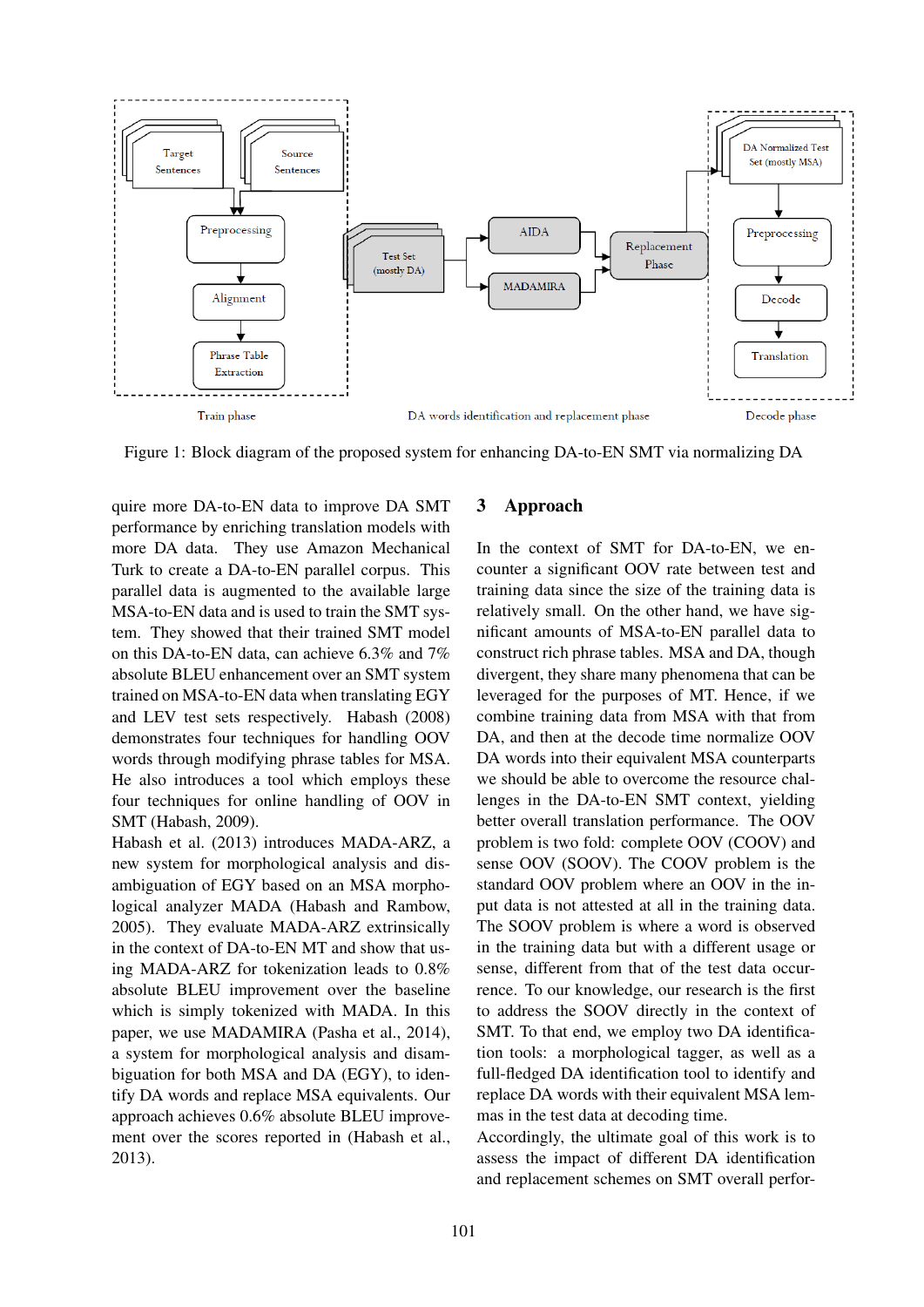

Figure 1: Block diagram of the proposed system for enhancing DA-to-EN SMT via normalizing DA

quire more DA-to-EN data to improve DA SMT performance by enriching translation models with more DA data. They use Amazon Mechanical Turk to create a DA-to-EN parallel corpus. This parallel data is augmented to the available large MSA-to-EN data and is used to train the SMT system. They showed that their trained SMT model on this DA-to-EN data, can achieve 6.3% and 7% absolute BLEU enhancement over an SMT system trained on MSA-to-EN data when translating EGY and LEV test sets respectively. Habash (2008) demonstrates four techniques for handling OOV words through modifying phrase tables for MSA. He also introduces a tool which employs these four techniques for online handling of OOV in SMT (Habash, 2009).

Habash et al. (2013) introduces MADA-ARZ, a new system for morphological analysis and disambiguation of EGY based on an MSA morphological analyzer MADA (Habash and Rambow, 2005). They evaluate MADA-ARZ extrinsically in the context of DA-to-EN MT and show that using MADA-ARZ for tokenization leads to 0.8% absolute BLEU improvement over the baseline which is simply tokenized with MADA. In this paper, we use MADAMIRA (Pasha et al., 2014), a system for morphological analysis and disambiguation for both MSA and DA (EGY), to identify DA words and replace MSA equivalents. Our approach achieves 0.6% absolute BLEU improvement over the scores reported in (Habash et al., 2013).

### 3 Approach

In the context of SMT for DA-to-EN, we encounter a significant OOV rate between test and training data since the size of the training data is relatively small. On the other hand, we have significant amounts of MSA-to-EN parallel data to construct rich phrase tables. MSA and DA, though divergent, they share many phenomena that can be leveraged for the purposes of MT. Hence, if we combine training data from MSA with that from DA, and then at the decode time normalize OOV DA words into their equivalent MSA counterparts we should be able to overcome the resource challenges in the DA-to-EN SMT context, yielding better overall translation performance. The OOV problem is two fold: complete OOV (COOV) and sense OOV (SOOV). The COOV problem is the standard OOV problem where an OOV in the input data is not attested at all in the training data. The SOOV problem is where a word is observed in the training data but with a different usage or sense, different from that of the test data occurrence. To our knowledge, our research is the first to address the SOOV directly in the context of SMT. To that end, we employ two DA identification tools: a morphological tagger, as well as a full-fledged DA identification tool to identify and replace DA words with their equivalent MSA lemmas in the test data at decoding time.

Accordingly, the ultimate goal of this work is to assess the impact of different DA identification and replacement schemes on SMT overall perfor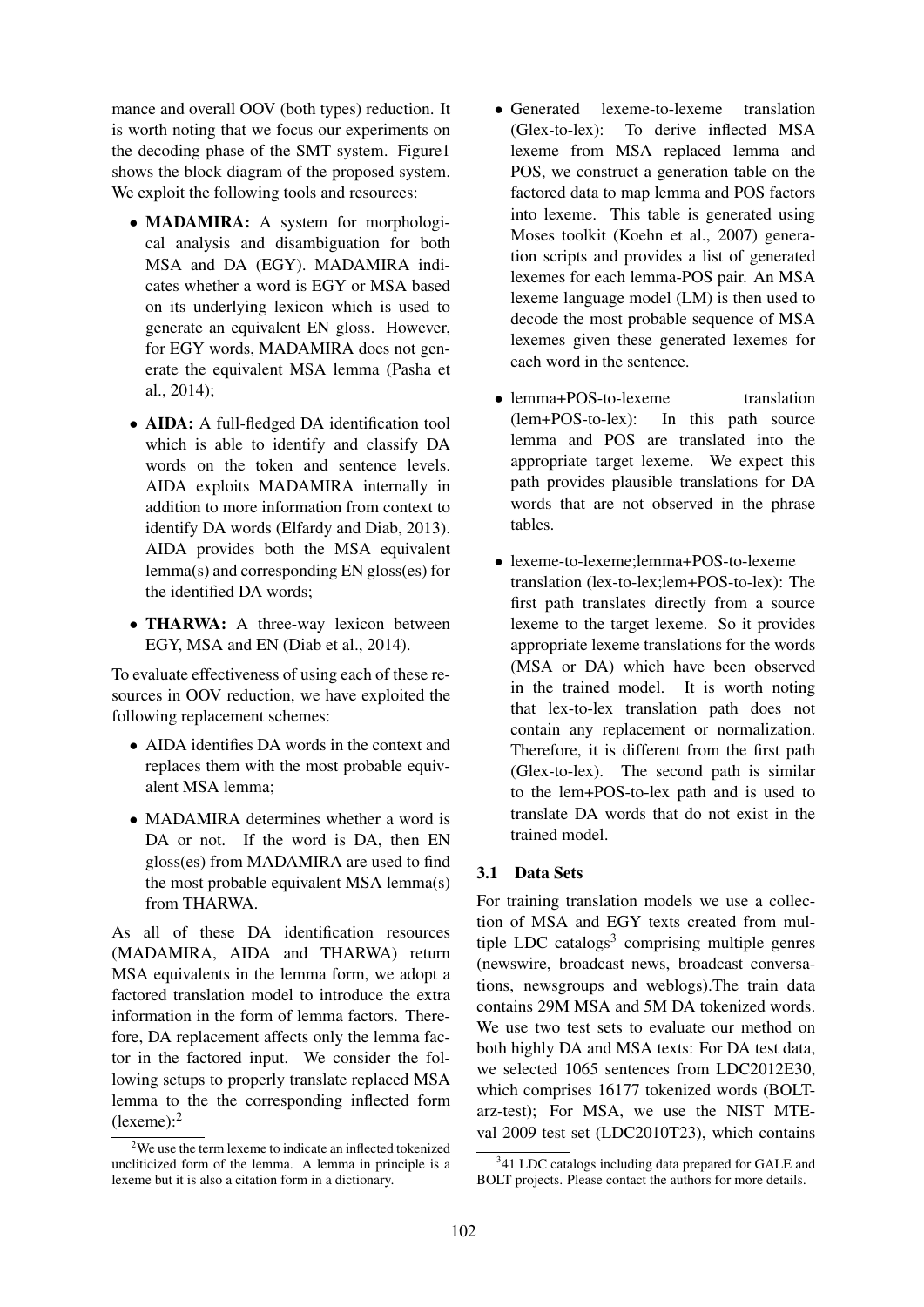mance and overall OOV (both types) reduction. It is worth noting that we focus our experiments on the decoding phase of the SMT system. Figure1 shows the block diagram of the proposed system. We exploit the following tools and resources:

- MADAMIRA: A system for morphological analysis and disambiguation for both MSA and DA (EGY). MADAMIRA indicates whether a word is EGY or MSA based on its underlying lexicon which is used to generate an equivalent EN gloss. However, for EGY words, MADAMIRA does not generate the equivalent MSA lemma (Pasha et al., 2014);
- AIDA: A full-fledged DA identification tool which is able to identify and classify DA words on the token and sentence levels. AIDA exploits MADAMIRA internally in addition to more information from context to identify DA words (Elfardy and Diab, 2013). AIDA provides both the MSA equivalent lemma(s) and corresponding EN gloss(es) for the identified DA words;
- THARWA: A three-way lexicon between EGY, MSA and EN (Diab et al., 2014).

To evaluate effectiveness of using each of these resources in OOV reduction, we have exploited the following replacement schemes:

- AIDA identifies DA words in the context and replaces them with the most probable equivalent MSA lemma;
- MADAMIRA determines whether a word is DA or not. If the word is DA, then EN gloss(es) from MADAMIRA are used to find the most probable equivalent MSA lemma(s) from THARWA.

As all of these DA identification resources (MADAMIRA, AIDA and THARWA) return MSA equivalents in the lemma form, we adopt a factored translation model to introduce the extra information in the form of lemma factors. Therefore, DA replacement affects only the lemma factor in the factored input. We consider the following setups to properly translate replaced MSA lemma to the the corresponding inflected form (lexeme):<sup>2</sup>

- Generated lexeme-to-lexeme translation (Glex-to-lex): To derive inflected MSA lexeme from MSA replaced lemma and POS, we construct a generation table on the factored data to map lemma and POS factors into lexeme. This table is generated using Moses toolkit (Koehn et al., 2007) generation scripts and provides a list of generated lexemes for each lemma-POS pair. An MSA lexeme language model (LM) is then used to decode the most probable sequence of MSA lexemes given these generated lexemes for each word in the sentence.
- lemma+POS-to-lexeme translation (lem+POS-to-lex): In this path source lemma and POS are translated into the appropriate target lexeme. We expect this path provides plausible translations for DA words that are not observed in the phrase tables.
- lexeme-to-lexeme:lemma+POS-to-lexeme translation (lex-to-lex;lem+POS-to-lex): The first path translates directly from a source lexeme to the target lexeme. So it provides appropriate lexeme translations for the words (MSA or DA) which have been observed in the trained model. It is worth noting that lex-to-lex translation path does not contain any replacement or normalization. Therefore, it is different from the first path (Glex-to-lex). The second path is similar to the lem+POS-to-lex path and is used to translate DA words that do not exist in the trained model.

### 3.1 Data Sets

For training translation models we use a collection of MSA and EGY texts created from multiple LDC catalogs<sup>3</sup> comprising multiple genres (newswire, broadcast news, broadcast conversations, newsgroups and weblogs).The train data contains 29M MSA and 5M DA tokenized words. We use two test sets to evaluate our method on both highly DA and MSA texts: For DA test data, we selected 1065 sentences from LDC2012E30, which comprises 16177 tokenized words (BOLTarz-test); For MSA, we use the NIST MTEval 2009 test set (LDC2010T23), which contains

 $2$ We use the term lexeme to indicate an inflected tokenized uncliticized form of the lemma. A lemma in principle is a lexeme but it is also a citation form in a dictionary.

<sup>&</sup>lt;sup>3</sup>41 LDC catalogs including data prepared for GALE and BOLT projects. Please contact the authors for more details.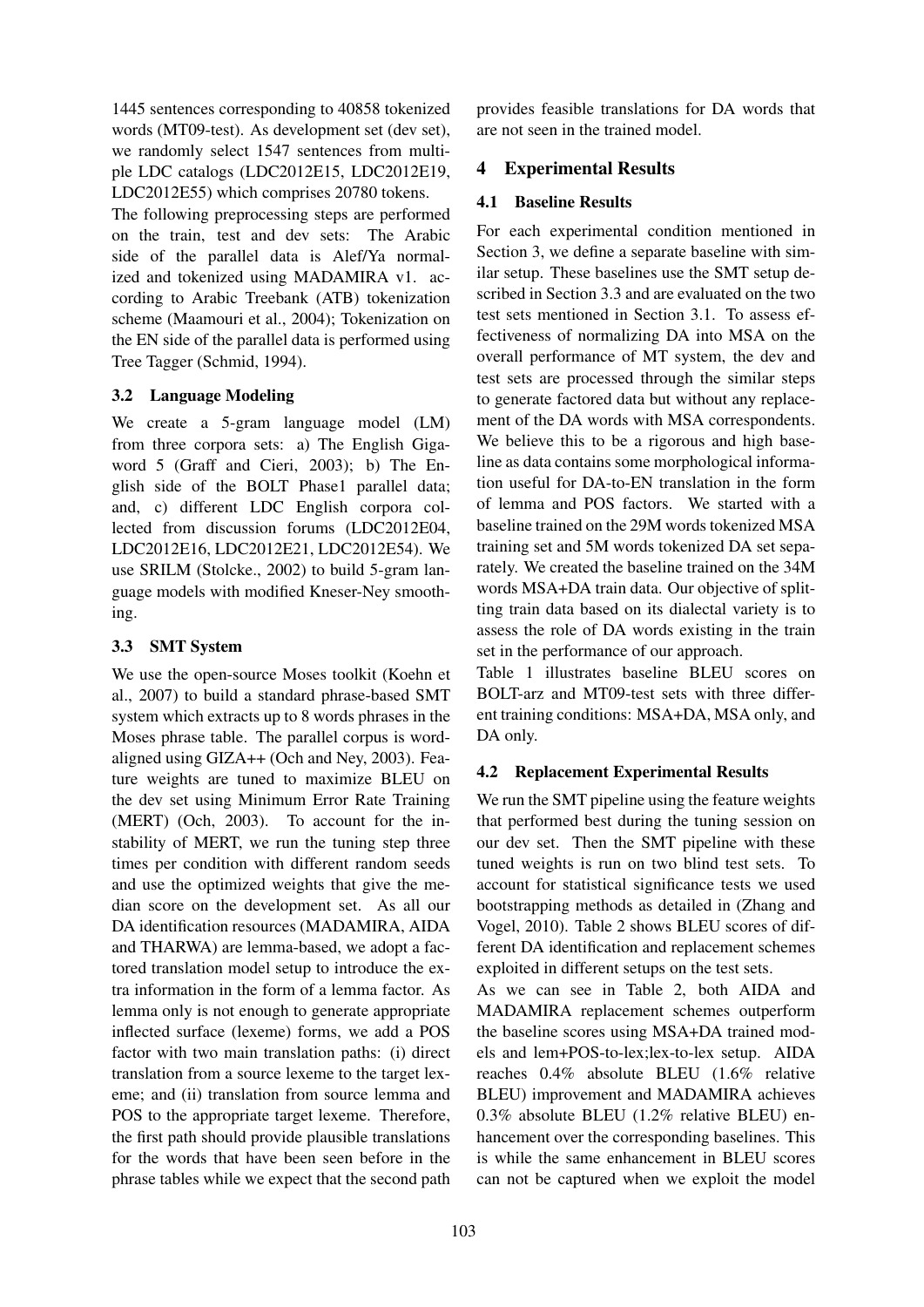1445 sentences corresponding to 40858 tokenized words (MT09-test). As development set (dev set), we randomly select 1547 sentences from multiple LDC catalogs (LDC2012E15, LDC2012E19, LDC2012E55) which comprises 20780 tokens.

The following preprocessing steps are performed on the train, test and dev sets: The Arabic side of the parallel data is Alef/Ya normalized and tokenized using MADAMIRA v1. according to Arabic Treebank (ATB) tokenization scheme (Maamouri et al., 2004); Tokenization on the EN side of the parallel data is performed using Tree Tagger (Schmid, 1994).

## 3.2 Language Modeling

We create a 5-gram language model (LM) from three corpora sets: a) The English Gigaword 5 (Graff and Cieri, 2003); b) The English side of the BOLT Phase1 parallel data; and, c) different LDC English corpora collected from discussion forums (LDC2012E04, LDC2012E16, LDC2012E21, LDC2012E54). We use SRILM (Stolcke., 2002) to build 5-gram language models with modified Kneser-Ney smoothing.

## 3.3 SMT System

We use the open-source Moses toolkit (Koehn et al., 2007) to build a standard phrase-based SMT system which extracts up to 8 words phrases in the Moses phrase table. The parallel corpus is wordaligned using GIZA++ (Och and Ney, 2003). Feature weights are tuned to maximize BLEU on the dev set using Minimum Error Rate Training (MERT) (Och, 2003). To account for the instability of MERT, we run the tuning step three times per condition with different random seeds and use the optimized weights that give the median score on the development set. As all our DA identification resources (MADAMIRA, AIDA and THARWA) are lemma-based, we adopt a factored translation model setup to introduce the extra information in the form of a lemma factor. As lemma only is not enough to generate appropriate inflected surface (lexeme) forms, we add a POS factor with two main translation paths: (i) direct translation from a source lexeme to the target lexeme; and (ii) translation from source lemma and POS to the appropriate target lexeme. Therefore, the first path should provide plausible translations for the words that have been seen before in the phrase tables while we expect that the second path provides feasible translations for DA words that are not seen in the trained model.

## 4 Experimental Results

### 4.1 Baseline Results

For each experimental condition mentioned in Section 3, we define a separate baseline with similar setup. These baselines use the SMT setup described in Section 3.3 and are evaluated on the two test sets mentioned in Section 3.1. To assess effectiveness of normalizing DA into MSA on the overall performance of MT system, the dev and test sets are processed through the similar steps to generate factored data but without any replacement of the DA words with MSA correspondents. We believe this to be a rigorous and high baseline as data contains some morphological information useful for DA-to-EN translation in the form of lemma and POS factors. We started with a baseline trained on the 29M words tokenized MSA training set and 5M words tokenized DA set separately. We created the baseline trained on the 34M words MSA+DA train data. Our objective of splitting train data based on its dialectal variety is to assess the role of DA words existing in the train set in the performance of our approach.

Table 1 illustrates baseline BLEU scores on BOLT-arz and MT09-test sets with three different training conditions: MSA+DA, MSA only, and DA only.

## 4.2 Replacement Experimental Results

We run the SMT pipeline using the feature weights that performed best during the tuning session on our dev set. Then the SMT pipeline with these tuned weights is run on two blind test sets. To account for statistical significance tests we used bootstrapping methods as detailed in (Zhang and Vogel, 2010). Table 2 shows BLEU scores of different DA identification and replacement schemes exploited in different setups on the test sets.

As we can see in Table 2, both AIDA and MADAMIRA replacement schemes outperform the baseline scores using MSA+DA trained models and lem+POS-to-lex;lex-to-lex setup. AIDA reaches 0.4% absolute BLEU (1.6% relative BLEU) improvement and MADAMIRA achieves 0.3% absolute BLEU (1.2% relative BLEU) enhancement over the corresponding baselines. This is while the same enhancement in BLEU scores can not be captured when we exploit the model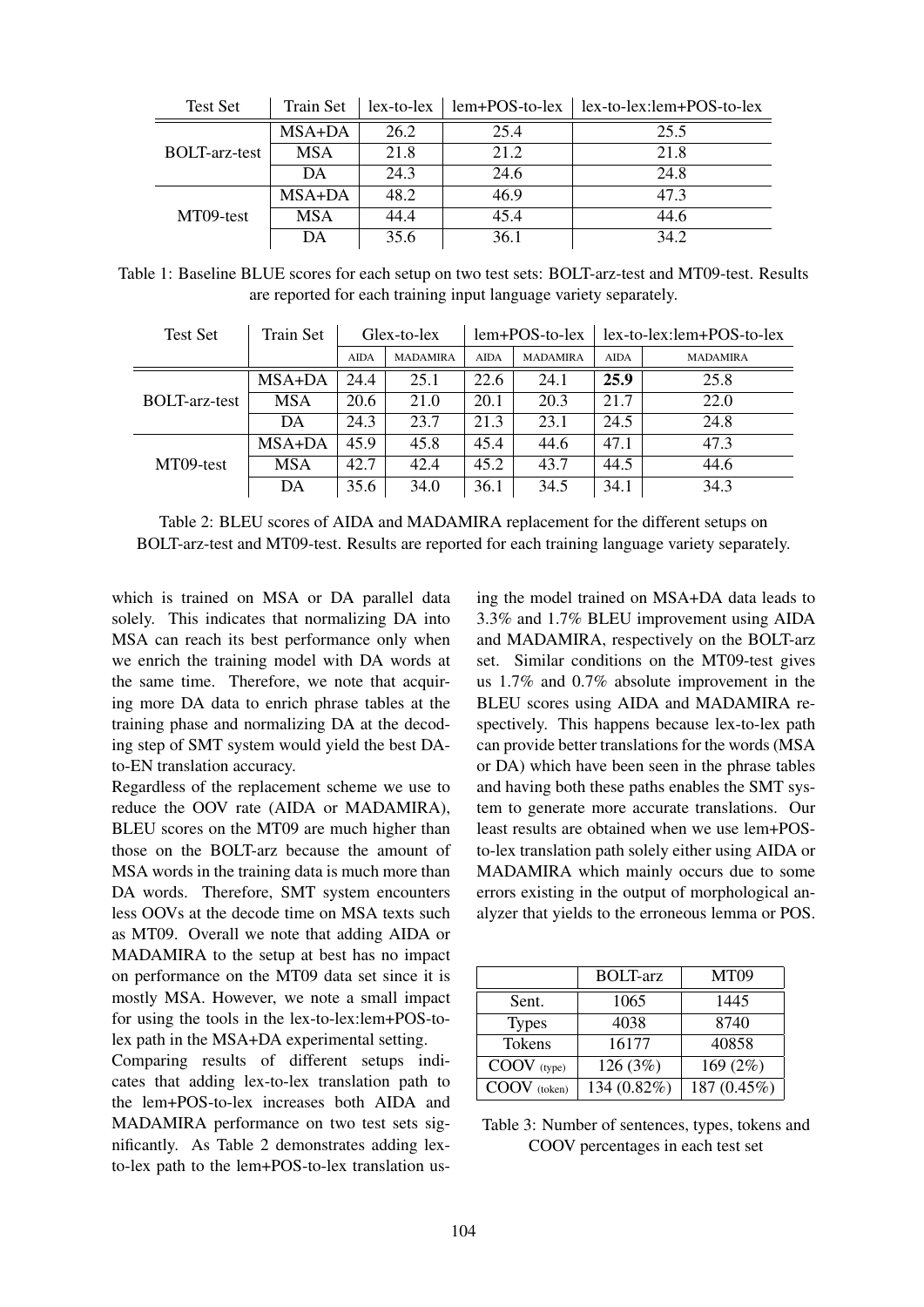| <b>Test Set</b>      | Train Set  |      |      | $lex-to-lex$   lem+POS-to-lex   lex-to-lex:lem+POS-to-lex |
|----------------------|------------|------|------|-----------------------------------------------------------|
| <b>BOLT-arz-test</b> | MSA+DA     | 26.2 | 25.4 | 25.5                                                      |
|                      | <b>MSA</b> | 21.8 | 21.2 | 21.8                                                      |
|                      | DA         | 24.3 | 24.6 | 24.8                                                      |
| MT09-test            | MSA+DA     | 48.2 | 46.9 | 47.3                                                      |
|                      | <b>MSA</b> | 44.4 | 45.4 | 44.6                                                      |
|                      | DА         | 35.6 | 36.1 | 34.2                                                      |

Table 1: Baseline BLUE scores for each setup on two test sets: BOLT-arz-test and MT09-test. Results are reported for each training input language variety separately.

| <b>Test Set</b>      | <b>Train Set</b> | Glex-to-lex |                 | $lem+POS-to-lex$ |                 | lex-to-lex:lem+POS-to-lex |                 |
|----------------------|------------------|-------------|-----------------|------------------|-----------------|---------------------------|-----------------|
|                      |                  | <b>AIDA</b> | <b>MADAMIRA</b> | <b>AIDA</b>      | <b>MADAMIRA</b> | <b>AIDA</b>               | <b>MADAMIRA</b> |
|                      | MSA+DA           | 24.4        | 25.1            | 22.6             | 24.1            | 25.9                      | 25.8            |
| <b>BOLT-arz-test</b> | <b>MSA</b>       | 20.6        | 21.0            | 20.1             | 20.3            | 21.7                      | 22.0            |
|                      | DA               | 24.3        | 23.7            | 21.3             | 23.1            | 24.5                      | 24.8            |
| MT09-test            | MSA+DA           | 45.9        | 45.8            | 45.4             | 44.6            | 47.1                      | 47.3            |
|                      | <b>MSA</b>       | 42.7        | 42.4            | 45.2             | 43.7            | 44.5                      | 44.6            |
|                      | DA               | 35.6        | 34.0            | 36.1             | 34.5            | 34.1                      | 34.3            |

Table 2: BLEU scores of AIDA and MADAMIRA replacement for the different setups on BOLT-arz-test and MT09-test. Results are reported for each training language variety separately.

which is trained on MSA or DA parallel data solely. This indicates that normalizing DA into MSA can reach its best performance only when we enrich the training model with DA words at the same time. Therefore, we note that acquiring more DA data to enrich phrase tables at the training phase and normalizing DA at the decoding step of SMT system would yield the best DAto-EN translation accuracy.

Regardless of the replacement scheme we use to reduce the OOV rate (AIDA or MADAMIRA), BLEU scores on the MT09 are much higher than those on the BOLT-arz because the amount of MSA words in the training data is much more than DA words. Therefore, SMT system encounters less OOVs at the decode time on MSA texts such as MT09. Overall we note that adding AIDA or MADAMIRA to the setup at best has no impact on performance on the MT09 data set since it is mostly MSA. However, we note a small impact for using the tools in the lex-to-lex:lem+POS-tolex path in the MSA+DA experimental setting.

Comparing results of different setups indicates that adding lex-to-lex translation path to the lem+POS-to-lex increases both AIDA and MADAMIRA performance on two test sets significantly. As Table 2 demonstrates adding lexto-lex path to the lem+POS-to-lex translation using the model trained on MSA+DA data leads to 3.3% and 1.7% BLEU improvement using AIDA and MADAMIRA, respectively on the BOLT-arz set. Similar conditions on the MT09-test gives us 1.7% and 0.7% absolute improvement in the BLEU scores using AIDA and MADAMIRA respectively. This happens because lex-to-lex path can provide better translations for the words (MSA or DA) which have been seen in the phrase tables and having both these paths enables the SMT system to generate more accurate translations. Our least results are obtained when we use lem+POSto-lex translation path solely either using AIDA or MADAMIRA which mainly occurs due to some errors existing in the output of morphological analyzer that yields to the erroneous lemma or POS.

|              | <b>BOLT-arz</b> | MT <sub>09</sub> |
|--------------|-----------------|------------------|
| Sent.        | 1065            | 1445             |
| <b>Types</b> | 4038            | 8740             |
| Tokens       | 16177           | 40858            |
| COOV (type)  | 126 (3%)        | 169 (2%)         |
| COOV (token) | 134 (0.82%)     | 187 (0.45%)      |

| Table 3: Number of sentences, types, tokens and |  |
|-------------------------------------------------|--|
| COOV percentages in each test set               |  |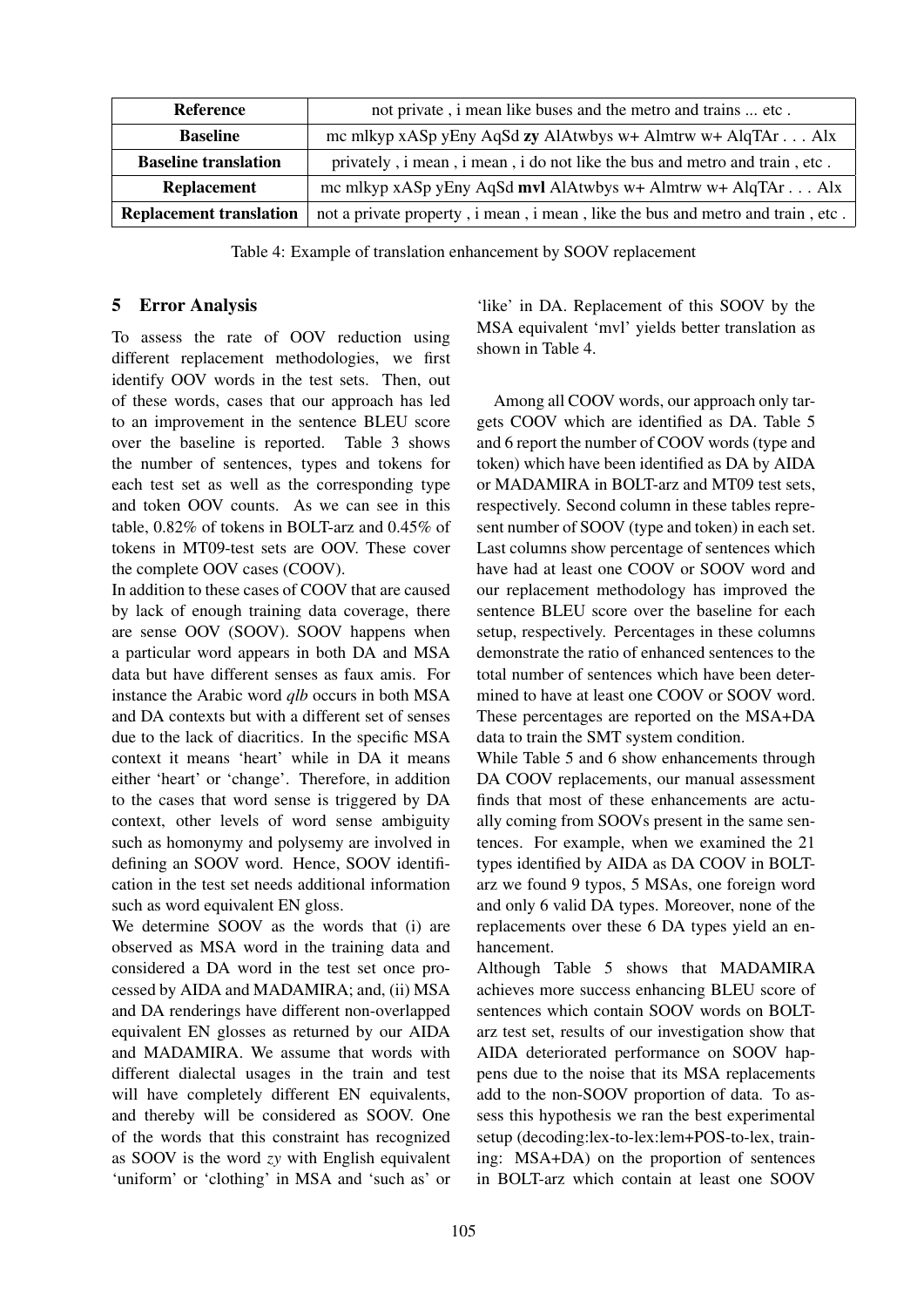| <b>Reference</b>               | not private, i mean like buses and the metro and trains  etc.                  |
|--------------------------------|--------------------------------------------------------------------------------|
| <b>Baseline</b>                | mc mlkyp xASp yEny AqSd zy AlAtwbys w+ Almtrw w+ AlqTAr Alx                    |
| <b>Baseline translation</b>    | privately, i mean, i mean, i do not like the bus and metro and train, etc.     |
| <b>Replacement</b>             | mc mlkyp xASp yEny AqSd mvl AlAtwbys w+ Almtrw w+ AlqTAr Alx                   |
| <b>Replacement translation</b> | not a private property, i mean, i mean, like the bus and metro and train, etc. |

Table 4: Example of translation enhancement by SOOV replacement

### 5 Error Analysis

To assess the rate of OOV reduction using different replacement methodologies, we first identify OOV words in the test sets. Then, out of these words, cases that our approach has led to an improvement in the sentence BLEU score over the baseline is reported. Table 3 shows the number of sentences, types and tokens for each test set as well as the corresponding type and token OOV counts. As we can see in this table, 0.82% of tokens in BOLT-arz and 0.45% of tokens in MT09-test sets are OOV. These cover the complete OOV cases (COOV).

In addition to these cases of COOV that are caused by lack of enough training data coverage, there are sense OOV (SOOV). SOOV happens when a particular word appears in both DA and MSA data but have different senses as faux amis. For instance the Arabic word *qlb* occurs in both MSA and DA contexts but with a different set of senses due to the lack of diacritics. In the specific MSA context it means 'heart' while in DA it means either 'heart' or 'change'. Therefore, in addition to the cases that word sense is triggered by DA context, other levels of word sense ambiguity such as homonymy and polysemy are involved in defining an SOOV word. Hence, SOOV identification in the test set needs additional information such as word equivalent EN gloss.

We determine SOOV as the words that (i) are observed as MSA word in the training data and considered a DA word in the test set once processed by AIDA and MADAMIRA; and, (ii) MSA and DA renderings have different non-overlapped equivalent EN glosses as returned by our AIDA and MADAMIRA. We assume that words with different dialectal usages in the train and test will have completely different EN equivalents, and thereby will be considered as SOOV. One of the words that this constraint has recognized as SOOV is the word *zy* with English equivalent 'uniform' or 'clothing' in MSA and 'such as' or

'like' in DA. Replacement of this SOOV by the MSA equivalent 'mvl' yields better translation as shown in Table 4.

Among all COOV words, our approach only targets COOV which are identified as DA. Table 5 and 6 report the number of COOV words (type and token) which have been identified as DA by AIDA or MADAMIRA in BOLT-arz and MT09 test sets, respectively. Second column in these tables represent number of SOOV (type and token) in each set. Last columns show percentage of sentences which have had at least one COOV or SOOV word and our replacement methodology has improved the sentence BLEU score over the baseline for each setup, respectively. Percentages in these columns demonstrate the ratio of enhanced sentences to the total number of sentences which have been determined to have at least one COOV or SOOV word. These percentages are reported on the MSA+DA data to train the SMT system condition.

While Table 5 and 6 show enhancements through DA COOV replacements, our manual assessment finds that most of these enhancements are actually coming from SOOVs present in the same sentences. For example, when we examined the 21 types identified by AIDA as DA COOV in BOLTarz we found 9 typos, 5 MSAs, one foreign word and only 6 valid DA types. Moreover, none of the replacements over these 6 DA types yield an enhancement.

Although Table 5 shows that MADAMIRA achieves more success enhancing BLEU score of sentences which contain SOOV words on BOLTarz test set, results of our investigation show that AIDA deteriorated performance on SOOV happens due to the noise that its MSA replacements add to the non-SOOV proportion of data. To assess this hypothesis we ran the best experimental setup (decoding:lex-to-lex:lem+POS-to-lex, training: MSA+DA) on the proportion of sentences in BOLT-arz which contain at least one SOOV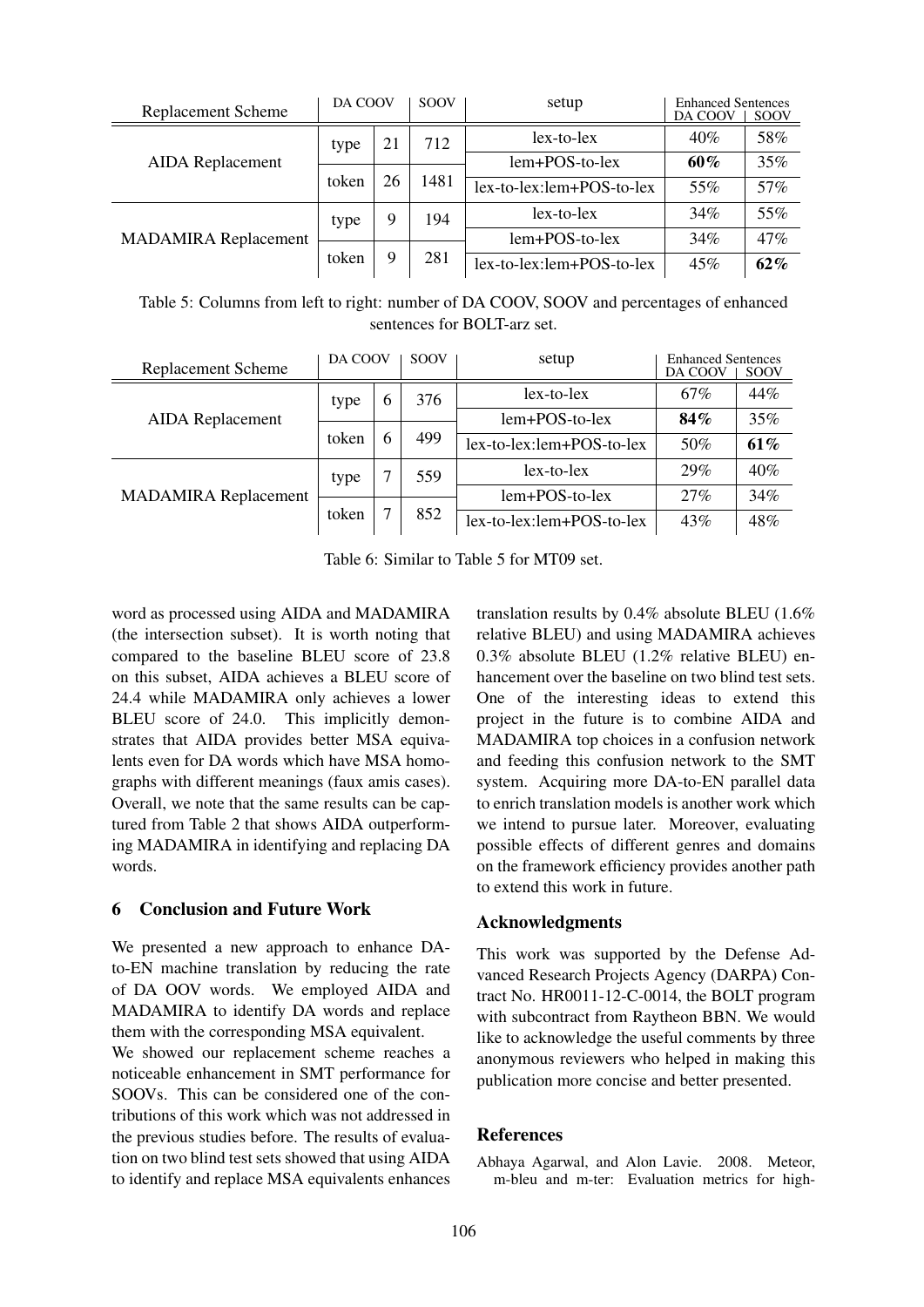| <b>Replacement Scheme</b>   | DA COOV |        | <b>SOOV</b> | setup                       | <b>Enhanced Sentences</b><br>DA COOV | <b>SOOV</b> |
|-----------------------------|---------|--------|-------------|-----------------------------|--------------------------------------|-------------|
|                             | type    | 21     | 712         | $lex-to-lex$                | 40%                                  | 58%         |
| <b>AIDA</b> Replacement     |         | 26     | 1481        | lem+POS-to-lex              | 60%                                  | 35%         |
|                             | token   |        |             | lex-to-lex:lem+POS-to-lex   | 55%                                  | 57%         |
|                             | type    | 9<br>9 | 194<br>281  | $lex-to-lex$                | 34%                                  | 55%         |
| <b>MADAMIRA Replacement</b> |         |        |             | lem+POS-to-lex              | 34%                                  | 47%         |
|                             | token   |        |             | $lex-to-lex:lem+POS-to-lex$ | 45%                                  | 62%         |

Table 5: Columns from left to right: number of DA COOV, SOOV and percentages of enhanced sentences for BOLT-arz set.

| <b>Replacement Scheme</b>   | DA COOV |        | <b>SOOV</b> | setup                     | <b>Enhanced Sentences</b><br>DA COOV | <b>SOOV</b> |
|-----------------------------|---------|--------|-------------|---------------------------|--------------------------------------|-------------|
| <b>AIDA</b> Replacement     | type    | 6<br>6 | 376         | $lex-to-lex$              | 67%                                  | 44%         |
|                             |         |        |             | lem+POS-to-lex            | 84%                                  | 35%         |
|                             | token   |        | 499         | lex-to-lex:lem+POS-to-lex | 50%                                  | 61%         |
|                             | type    |        | 559         | $lex-to-lex$              | 29%                                  | 40%         |
| <b>MADAMIRA Replacement</b> | token   | ⇁      | 852         | $lem+POS-to-lex$          | 27%                                  | 34%         |
|                             |         |        |             | lex-to-lex:lem+POS-to-lex | 43%                                  | 48%         |

Table 6: Similar to Table 5 for MT09 set.

word as processed using AIDA and MADAMIRA (the intersection subset). It is worth noting that compared to the baseline BLEU score of 23.8 on this subset, AIDA achieves a BLEU score of 24.4 while MADAMIRA only achieves a lower BLEU score of 24.0. This implicitly demonstrates that AIDA provides better MSA equivalents even for DA words which have MSA homographs with different meanings (faux amis cases). Overall, we note that the same results can be captured from Table 2 that shows AIDA outperforming MADAMIRA in identifying and replacing DA words.

### 6 Conclusion and Future Work

We presented a new approach to enhance DAto-EN machine translation by reducing the rate of DA OOV words. We employed AIDA and MADAMIRA to identify DA words and replace them with the corresponding MSA equivalent.

We showed our replacement scheme reaches a noticeable enhancement in SMT performance for SOOVs. This can be considered one of the contributions of this work which was not addressed in the previous studies before. The results of evaluation on two blind test sets showed that using AIDA to identify and replace MSA equivalents enhances translation results by 0.4% absolute BLEU (1.6% relative BLEU) and using MADAMIRA achieves 0.3% absolute BLEU (1.2% relative BLEU) enhancement over the baseline on two blind test sets. One of the interesting ideas to extend this project in the future is to combine AIDA and MADAMIRA top choices in a confusion network and feeding this confusion network to the SMT system. Acquiring more DA-to-EN parallel data to enrich translation models is another work which we intend to pursue later. Moreover, evaluating possible effects of different genres and domains on the framework efficiency provides another path to extend this work in future.

#### Acknowledgments

This work was supported by the Defense Advanced Research Projects Agency (DARPA) Contract No. HR0011-12-C-0014, the BOLT program with subcontract from Raytheon BBN. We would like to acknowledge the useful comments by three anonymous reviewers who helped in making this publication more concise and better presented.

#### References

Abhaya Agarwal, and Alon Lavie. 2008. Meteor, m-bleu and m-ter: Evaluation metrics for high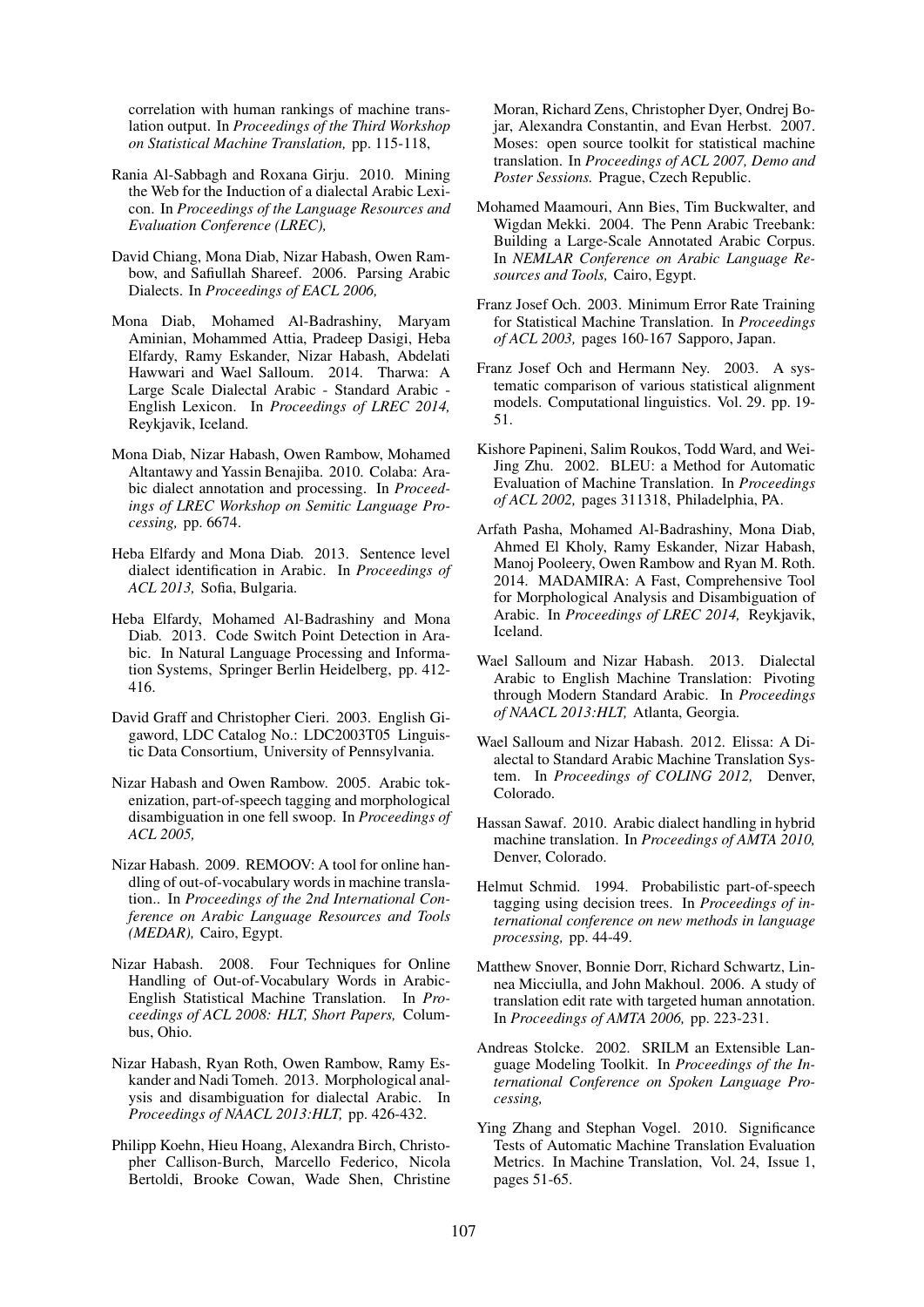correlation with human rankings of machine translation output. In *Proceedings of the Third Workshop on Statistical Machine Translation,* pp. 115-118,

- Rania Al-Sabbagh and Roxana Girju. 2010. Mining the Web for the Induction of a dialectal Arabic Lexicon. In *Proceedings of the Language Resources and Evaluation Conference (LREC),*
- David Chiang, Mona Diab, Nizar Habash, Owen Rambow, and Safiullah Shareef. 2006. Parsing Arabic Dialects. In *Proceedings of EACL 2006,*
- Mona Diab, Mohamed Al-Badrashiny, Maryam Aminian, Mohammed Attia, Pradeep Dasigi, Heba Elfardy, Ramy Eskander, Nizar Habash, Abdelati Hawwari and Wael Salloum. 2014. Tharwa: A Large Scale Dialectal Arabic - Standard Arabic - English Lexicon. In *Proceedings of LREC 2014,* Reykjavik, Iceland.
- Mona Diab, Nizar Habash, Owen Rambow, Mohamed Altantawy and Yassin Benajiba. 2010. Colaba: Arabic dialect annotation and processing. In *Proceedings of LREC Workshop on Semitic Language Processing,* pp. 6674.
- Heba Elfardy and Mona Diab. 2013. Sentence level dialect identification in Arabic. In *Proceedings of ACL 2013,* Sofia, Bulgaria.
- Heba Elfardy, Mohamed Al-Badrashiny and Mona Diab. 2013. Code Switch Point Detection in Arabic. In Natural Language Processing and Information Systems, Springer Berlin Heidelberg, pp. 412- 416.
- David Graff and Christopher Cieri. 2003. English Gigaword, LDC Catalog No.: LDC2003T05 Linguistic Data Consortium, University of Pennsylvania.
- Nizar Habash and Owen Rambow. 2005. Arabic tokenization, part-of-speech tagging and morphological disambiguation in one fell swoop. In *Proceedings of ACL 2005,*
- Nizar Habash. 2009. REMOOV: A tool for online handling of out-of-vocabulary words in machine translation.. In *Proceedings of the 2nd International Conference on Arabic Language Resources and Tools (MEDAR),* Cairo, Egypt.
- Nizar Habash. 2008. Four Techniques for Online Handling of Out-of-Vocabulary Words in Arabic-English Statistical Machine Translation. In *Proceedings of ACL 2008: HLT, Short Papers,* Columbus, Ohio.
- Nizar Habash, Ryan Roth, Owen Rambow, Ramy Eskander and Nadi Tomeh. 2013. Morphological analysis and disambiguation for dialectal Arabic. In *Proceedings of NAACL 2013:HLT,* pp. 426-432.
- Philipp Koehn, Hieu Hoang, Alexandra Birch, Christopher Callison-Burch, Marcello Federico, Nicola Bertoldi, Brooke Cowan, Wade Shen, Christine

Moran, Richard Zens, Christopher Dyer, Ondrej Bojar, Alexandra Constantin, and Evan Herbst. 2007. Moses: open source toolkit for statistical machine translation. In *Proceedings of ACL 2007, Demo and Poster Sessions.* Prague, Czech Republic.

- Mohamed Maamouri, Ann Bies, Tim Buckwalter, and Wigdan Mekki. 2004. The Penn Arabic Treebank: Building a Large-Scale Annotated Arabic Corpus. In *NEMLAR Conference on Arabic Language Resources and Tools,* Cairo, Egypt.
- Franz Josef Och. 2003. Minimum Error Rate Training for Statistical Machine Translation. In *Proceedings of ACL 2003,* pages 160-167 Sapporo, Japan.
- Franz Josef Och and Hermann Ney. 2003. A systematic comparison of various statistical alignment models. Computational linguistics. Vol. 29. pp. 19- 51.
- Kishore Papineni, Salim Roukos, Todd Ward, and Wei-Jing Zhu. 2002. BLEU: a Method for Automatic Evaluation of Machine Translation. In *Proceedings of ACL 2002,* pages 311318, Philadelphia, PA.
- Arfath Pasha, Mohamed Al-Badrashiny, Mona Diab, Ahmed El Kholy, Ramy Eskander, Nizar Habash, Manoj Pooleery, Owen Rambow and Ryan M. Roth. 2014. MADAMIRA: A Fast, Comprehensive Tool for Morphological Analysis and Disambiguation of Arabic. In *Proceedings of LREC 2014,* Reykjavik, Iceland.
- Wael Salloum and Nizar Habash. 2013. Dialectal Arabic to English Machine Translation: Pivoting through Modern Standard Arabic. In *Proceedings of NAACL 2013:HLT,* Atlanta, Georgia.
- Wael Salloum and Nizar Habash. 2012. Elissa: A Dialectal to Standard Arabic Machine Translation System. In *Proceedings of COLING 2012,* Denver, Colorado.
- Hassan Sawaf. 2010. Arabic dialect handling in hybrid machine translation. In *Proceedings of AMTA 2010,* Denver, Colorado.
- Helmut Schmid. 1994. Probabilistic part-of-speech tagging using decision trees. In *Proceedings of international conference on new methods in language processing,* pp. 44-49.
- Matthew Snover, Bonnie Dorr, Richard Schwartz, Linnea Micciulla, and John Makhoul. 2006. A study of translation edit rate with targeted human annotation. In *Proceedings of AMTA 2006,* pp. 223-231.
- Andreas Stolcke. 2002. SRILM an Extensible Language Modeling Toolkit. In *Proceedings of the International Conference on Spoken Language Processing,*
- Ying Zhang and Stephan Vogel. 2010. Significance Tests of Automatic Machine Translation Evaluation Metrics. In Machine Translation, Vol. 24, Issue 1, pages 51-65.